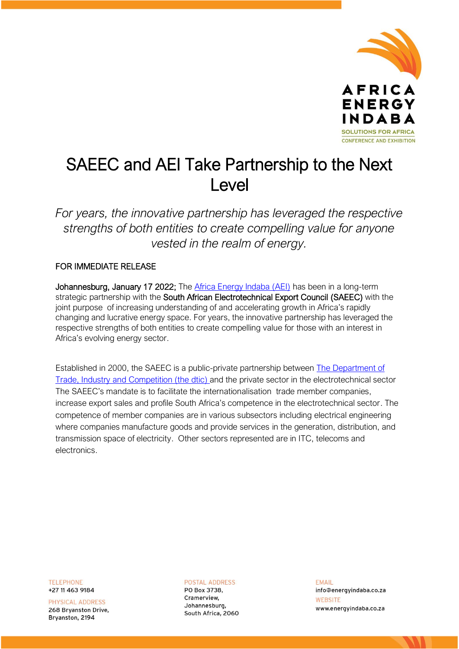

# SAEEC and AEI Take Partnership to the Next Level

*For years, the innovative partnership has leveraged the respective strengths of both entities to create compelling value for anyone vested in the realm of energy.*

## FOR IMMEDIATE RELEASE

Johannesburg, January 17 2022; The [Africa Energy Indaba \(AEI\)](https://africaenergyindaba.com/aei-welcome/) has been in a long-term strategic partnership with the South African Electrotechnical Export Council (SAEEC) with the joint purpose of increasing understanding of and accelerating growth in Africa's rapidly changing and lucrative energy space. For years, the innovative partnership has leveraged the respective strengths of both entities to create compelling value for those with an interest in Africa's evolving energy sector.

Established in 2000, the SAEEC is a public-private partnership between [The Department of](http://www.thedtic.gov.za/)  [Trade, Industry and Competition \(the](http://www.thedtic.gov.za/) dtic) and the private sector in the electrotechnical sector The SAEEC's mandate is to facilitate the internationalisation trade member companies, increase export sales and profile South Africa's competence in the electrotechnical sector. The competence of member companies are in various subsectors including electrical engineering where companies manufacture goods and provide services in the generation, distribution, and transmission space of electricity. Other sectors represented are in ITC, telecoms and electronics.

**TELEPHONE** +27 11 463 9184

PHYSICAL ADDRESS 268 Bryanston Drive, Brvanston, 2194

**POSTAL ADDRESS** PO Box 3738, Cramerview. Johannesburg, South Africa, 2060 **FMAIL** info@energyindaba.co.za WEBSITE www.energyindaba.co.za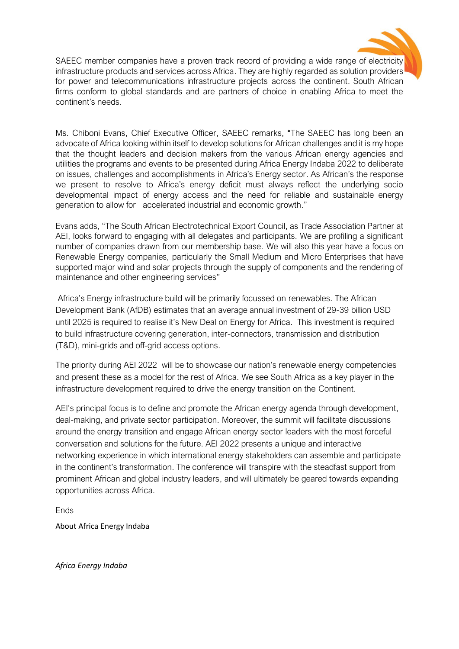

SAEEC member companies have a proven track record of providing a wide range of electricity infrastructure products and services across Africa. They are highly regarded as solution providers for power and telecommunications infrastructure projects across the continent. South African firms conform to global standards and are partners of choice in enabling Africa to meet the continent's needs.

Ms. Chiboni Evans, Chief Executive Officer, SAEEC remarks, "The SAEEC has long been an advocate of Africa looking within itself to develop solutions for African challenges and it is my hope that the thought leaders and decision makers from the various African energy agencies and utilities the programs and events to be presented during Africa Energy Indaba 2022 to deliberate on issues, challenges and accomplishments in Africa's Energy sector. As African's the response we present to resolve to Africa's energy deficit must always reflect the underlying socio developmental impact of energy access and the need for reliable and sustainable energy generation to allow for accelerated industrial and economic growth."

Evans adds, "The South African Electrotechnical Export Council, as Trade Association Partner at AEI, looks forward to engaging with all delegates and participants. We are profiling a significant number of companies drawn from our membership base. We will also this year have a focus on Renewable Energy companies, particularly the Small Medium and Micro Enterprises that have supported major wind and solar projects through the supply of components and the rendering of maintenance and other engineering services"

Africa's Energy infrastructure build will be primarily focussed on renewables. The African Development Bank (AfDB) estimates that an average annual investment of 29-39 billion USD until 2025 is required to realise it's New Deal on Energy for Africa. This investment is required to build infrastructure covering generation, inter-connectors, transmission and distribution (T&D), mini-grids and off-grid access options.

The priority during AEI 2022 will be to showcase our nation's renewable energy competencies and present these as a model for the rest of Africa. We see South Africa as a key player in the infrastructure development required to drive the energy transition on the Continent.

AEI's principal focus is to define and promote the African energy agenda through development, deal-making, and private sector participation. Moreover, the summit will facilitate discussions around the energy transition and engage African energy sector leaders with the most forceful conversation and solutions for the future. AEI 2022 presents a unique and interactive networking experience in which international energy stakeholders can assemble and participate in the continent's transformation. The conference will transpire with the steadfast support from prominent African and global industry leaders, and will ultimately be geared towards expanding opportunities across Africa.

**Ends** 

About Africa Energy Indaba

*Africa Energy Indaba*